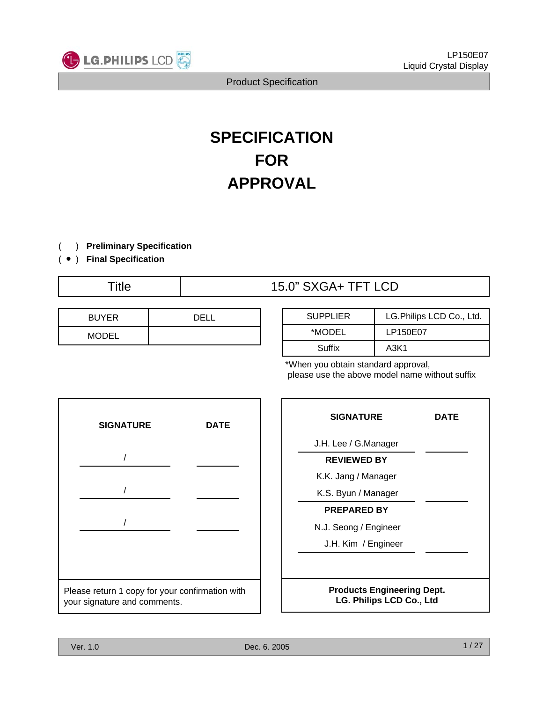

# **SPECIFICATION FOR APPROVAL**

- ) **Preliminary Specification** (
- ) ( **Final Specification**

# Title  $15.0$ " SXGA+ TFT LCD

| <b>BUYER</b> | <b>DELI</b> |
|--------------|-------------|
| <b>MODEL</b> |             |

| <b>SUPPLIER</b> | LG.Philips LCD Co., Ltd. |
|-----------------|--------------------------|
| *MODEL          | LP150E07                 |
| Suffix          | A3K1                     |

\*When you obtain standard approval, please use the above model name without suffix



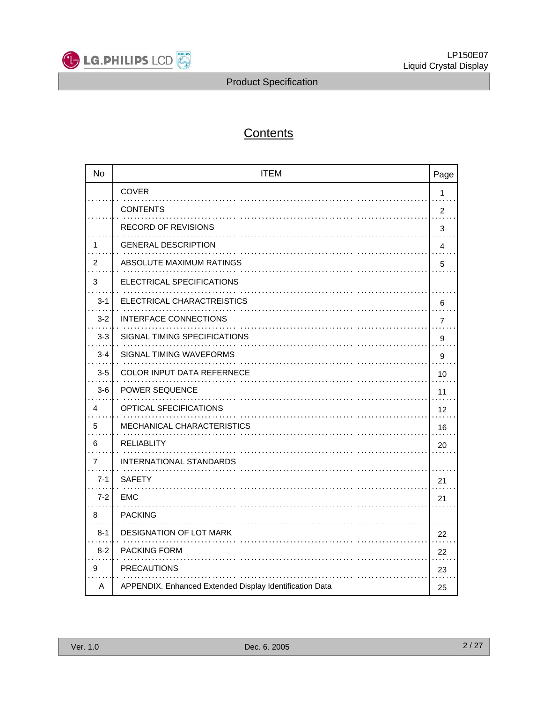

# **Contents**

| <b>No</b>      | <b>ITEM</b>                                             | Page         |
|----------------|---------------------------------------------------------|--------------|
|                | <b>COVER</b>                                            | $\mathbf{1}$ |
|                | <b>CONTENTS</b>                                         | 2            |
|                | <b>RECORD OF REVISIONS</b>                              | 3            |
| 1              | <b>GENERAL DESCRIPTION</b>                              | 4            |
| $\overline{2}$ | ABSOLUTE MAXIMUM RATINGS                                | 5            |
| 3              | ELECTRICAL SPECIFICATIONS                               |              |
| $3 - 1$        | ELECTRICAL CHARACTREISTICS                              | 6            |
| $3 - 2$        | <b>INTERFACE CONNECTIONS</b>                            | 7            |
| $3 - 3$        | SIGNAL TIMING SPECIFICATIONS                            | 9            |
| $3 - 4$        | SIGNAL TIMING WAVEFORMS                                 | 9            |
| $3-5$          | COLOR INPUT DATA REFERNECE                              | 10           |
| $3-6$          | <b>POWER SEQUENCE</b>                                   | 11           |
| 4              | <b>OPTICAL SFECIFICATIONS</b>                           | 12           |
| 5              | MECHANICAL CHARACTERISTICS                              | 16           |
| 6              | <b>RELIABLITY</b>                                       | 20           |
| $\overline{7}$ | INTERNATIONAL STANDARDS                                 |              |
| $7 - 1$        | <b>SAFETY</b>                                           | 21           |
| $7 - 2$        | <b>EMC</b>                                              | 21           |
| 8              | <b>PACKING</b>                                          |              |
| $8 - 1$        | <b>DESIGNATION OF LOT MARK</b>                          | 22           |
| $8 - 2$        | <b>PACKING FORM</b>                                     | 22           |
| 9              | <b>PRECAUTIONS</b>                                      | 23           |
| A              | APPENDIX. Enhanced Extended Display Identification Data | 25           |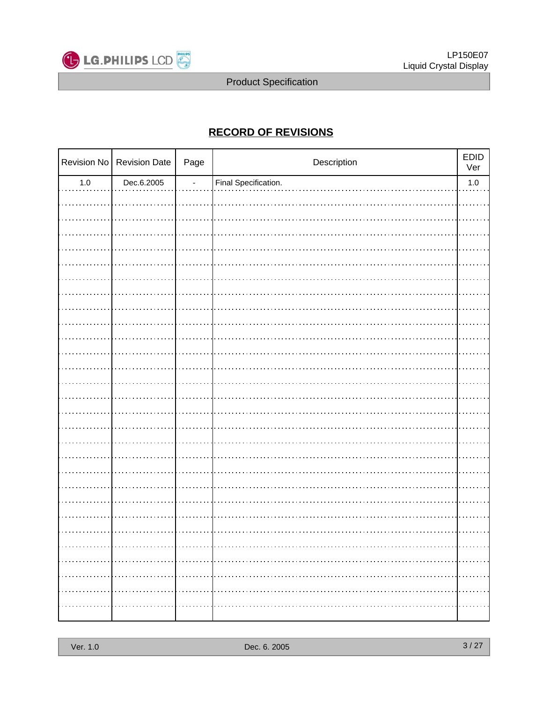

### **RECORD OF REVISIONS**

|         | Revision No Revision Date | Page | Description          | EDID<br>Ver |
|---------|---------------------------|------|----------------------|-------------|
| $1.0\,$ | Dec.6.2005                | L,   | Final Specification. | $1.0\,$     |
|         |                           |      |                      |             |
|         |                           |      |                      |             |
|         |                           |      |                      |             |
|         |                           |      |                      |             |
|         |                           |      |                      |             |
|         |                           |      |                      |             |
|         |                           |      |                      |             |
|         |                           |      |                      |             |
|         |                           |      |                      |             |
|         |                           |      |                      |             |
|         |                           |      |                      |             |
|         |                           |      |                      |             |
|         |                           |      |                      |             |
|         |                           |      |                      |             |
|         |                           |      |                      |             |
|         |                           |      |                      |             |
|         |                           |      |                      |             |
|         |                           |      |                      |             |
|         |                           |      |                      |             |
|         |                           |      |                      |             |
|         |                           |      |                      |             |
|         |                           |      |                      |             |
|         |                           |      |                      |             |
|         |                           |      |                      |             |
|         |                           |      |                      |             |
|         |                           |      |                      |             |
|         |                           |      |                      |             |
|         |                           |      |                      | .           |
|         |                           |      |                      |             |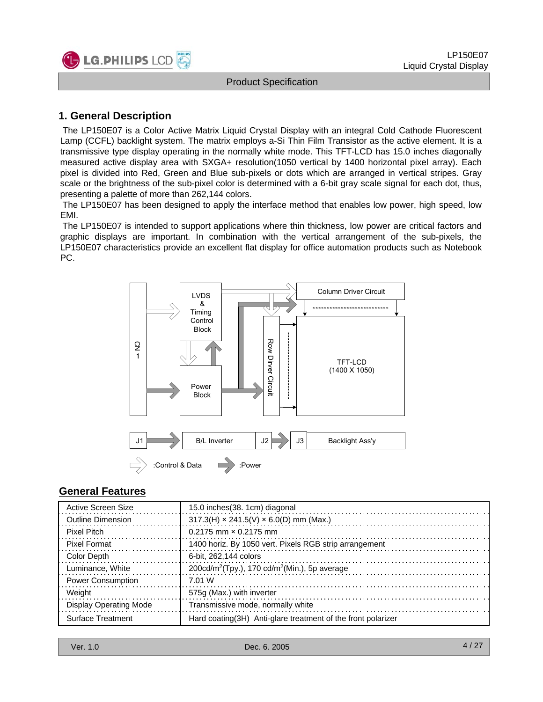

#### **1. General Description**

The LP150E07 is a Color Active Matrix Liquid Crystal Display with an integral Cold Cathode Fluorescent Lamp (CCFL) backlight system. The matrix employs a-Si Thin Film Transistor as the active element. It is a transmissive type display operating in the normally white mode. This TFT-LCD has 15.0 inches diagonally measured active display area with SXGA+ resolution(1050 vertical by 1400 horizontal pixel array). Each pixel is divided into Red, Green and Blue sub-pixels or dots which are arranged in vertical stripes. Gray scale or the brightness of the sub-pixel color is determined with a 6-bit gray scale signal for each dot, thus, presenting a palette of more than 262,144 colors.

The LP150E07 has been designed to apply the interface method that enables low power, high speed, low EMI.

The LP150E07 is intended to support applications where thin thickness, low power are critical factors and graphic displays are important. In combination with the vertical arrangement of the sub-pixels, the LP150E07 characteristics provide an excellent flat display for office automation products such as Notebook PC.



#### **General Features**

| Active Screen Size       | 15.0 inches (38. 1cm) diagonal                                       |
|--------------------------|----------------------------------------------------------------------|
| <b>Outline Dimension</b> | $317.3(H) \times 241.5(V) \times 6.0(D)$ mm (Max.)                   |
| Pixel Pitch              | $0.2175$ mm $\times$ 0.2175 mm                                       |
| <b>Pixel Format</b>      | 1400 horiz. By 1050 vert. Pixels RGB strip arrangement               |
| Color Depth              | 6-bit. 262.144 colors                                                |
| Luminance, White         | $200 \text{cd/m}^2$ (Tpy.), 170 cd/m <sup>2</sup> (Min.), 5p average |
| <b>Power Consumption</b> | 7.01 W                                                               |
| Weight                   | 575g (Max.) with inverter                                            |
| Display Operating Mode   | Transmissive mode, normally white                                    |
| <b>Surface Treatment</b> | Hard coating (3H) Anti-glare treatment of the front polarizer        |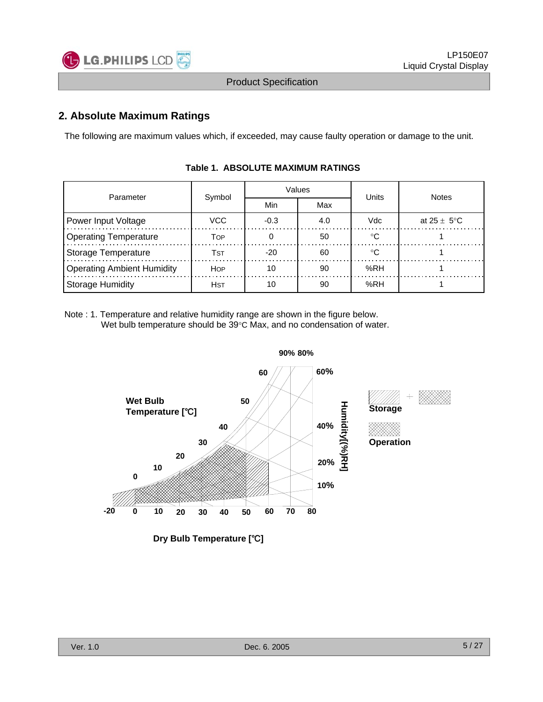

#### **2. Absolute Maximum Ratings**

The following are maximum values which, if exceeded, may cause faulty operation or damage to the unit.

| Parameter                         | Symbol      |        | Values | Units | <b>Notes</b>            |  |
|-----------------------------------|-------------|--------|--------|-------|-------------------------|--|
|                                   |             | Min    | Max    |       |                         |  |
| Power Input Voltage               | VCC         | $-0.3$ | 4.0    | Vdc   | at $25 \pm 5^{\circ}$ C |  |
| <b>Operating Temperature</b>      | Тор         |        | 50     | ∘∩    |                         |  |
| Storage Temperature               | Tst         | $-20$  | 60     | ∘∩    |                         |  |
| <b>Operating Ambient Humidity</b> | <b>HOP</b>  | 10     | 90     | %RH   |                         |  |
| <b>Storage Humidity</b>           | <b>H</b> st | 10     | 90     | %RH   |                         |  |

#### **Table 1. ABSOLUTE MAXIMUM RATINGS**

Note : 1. Temperature and relative humidity range are shown in the figure below. Wet bulb temperature should be 39°C Max, and no condensation of water.



**Dry Bulb Temperature [**℃**]**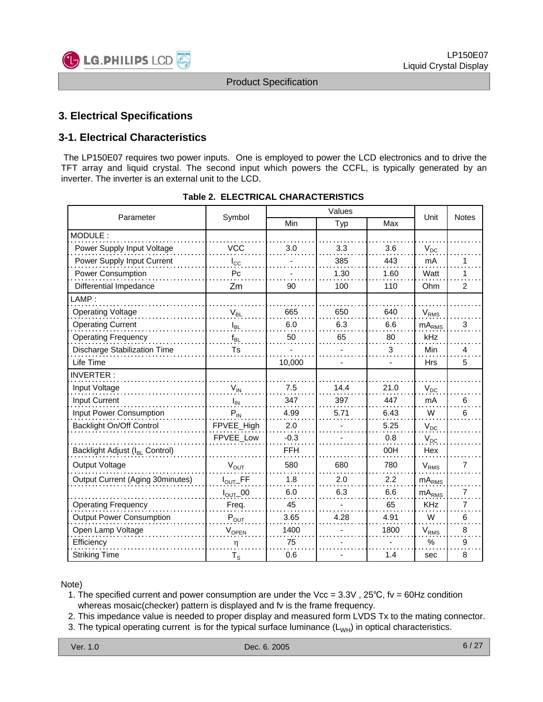

#### **3. Electrical Specifications**

#### **3-1. Electrical Characteristics**

The LP150E07 requires two power inputs. One is employed to power the LCD electronics and to drive the TFT array and liquid crystal. The second input which powers the CCFL, is typically generated by an inverter. The inverter is an external unit to the LCD.

| Parameter                                  | Symbol                          |            | Unit | <b>Notes</b> |                   |                |
|--------------------------------------------|---------------------------------|------------|------|--------------|-------------------|----------------|
|                                            |                                 | Min        | Typ  | Max          |                   |                |
| MODULE:                                    |                                 |            |      |              |                   |                |
| Power Supply Input Voltage                 | <b>VCC</b>                      | 3.0        | 3.3  | 3.6          | $V_{DC}$          |                |
| Power Supply Input Current                 | $I_{\rm CC}$                    |            | 385  | 443          | mA                | 1              |
| Power Consumption                          | Pc                              |            | 1.30 | 1.60         | Watt              | 1              |
| Differential Impedance                     | Zm                              | 90         | 100  | 110          | Ohm               | 2              |
| LAMP:                                      |                                 |            |      |              |                   |                |
| <b>Operating Voltage</b>                   | $V_{BL}$                        | 665        | 650  | 640          | $V_{RMS}$         |                |
| <b>Operating Current</b>                   | $I_{BL}$                        | 6.0        | 6.3  | 6.6          | mA <sub>RMS</sub> | 3              |
| <b>Operating Frequency</b>                 | $f_{BL}$                        | 50         | 65   | 80           | kHz               |                |
| <b>Discharge Stabilization Time</b>        | Ts                              |            |      | 3            | Min               | 4              |
| Life Time                                  |                                 | 10,000     |      |              | <b>Hrs</b>        | 5              |
| <b>INVERTER:</b>                           |                                 |            |      |              |                   |                |
| Input Voltage                              | $V_{IN}$                        | 7.5        | 14.4 | 21.0         | $V_{DC}$          |                |
| <b>Input Current</b>                       | $I_{IN}$                        | 347        | 397  | 447          | mA                | 6              |
| Input Power Consumption                    | $P_{IN}$                        | 4.99       | 5.71 | 6.43         | W                 | 6              |
| Backlight On/Off Control                   | FPVEE_High                      | 2.0        |      | 5.25         | $V_{DC}$          |                |
|                                            | FPVEE_Low                       | $-0.3$     |      | 0.8          | $V_{DC}$          |                |
| Backlight Adjust (I <sub>BL</sub> Control) |                                 | <b>FFH</b> |      | 00H          | Hex               |                |
| Output Voltage                             | $V_{\text{OUT}}$                | 580        | 680  | 780          | $V_{RMS}$         | 7              |
| Output Current (Aging 30minutes)           | $I_{\mathsf{OUT}\_}\mathsf{FF}$ | 1.8        | 2.0  | 2.2          | $mA_{RMS}$        |                |
|                                            | $I_{\text{OUT}}$ _00            | 6.0        | 6.3  | 6.6          | mA <sub>RMS</sub> | $\overline{7}$ |
| <b>Operating Frequency</b>                 | Freq.                           | 45         |      | 65           | <b>KHz</b>        | $\overline{7}$ |
| <b>Output Power Consumption</b>            | $P_{OUT}$                       | 3.65       | 4.28 | 4.91         | W                 | 6              |
| Open Lamp Voltage                          | VOPEN                           | 1400       |      | 1800         | $V_{RMS}$         | 8              |
| Efficiency                                 | η                               | 75         |      |              | $\%$              | 9              |
| <b>Striking Time</b>                       | $T_{\rm S}$                     | 0.6        |      | 1.4          | sec               | 8              |

#### **Table 2. ELECTRICAL CHARACTERISTICS**

Note)

1. The specified current and power consumption are under the Vcc = 3.3V , 25℃, fv = 60Hz condition whereas mosaic(checker) pattern is displayed and fv is the frame frequency.

2. This impedance value is needed to proper display and measured form LVDS Tx to the mating connector.

3. The typical operating current is for the typical surface luminance  $(L_{WH})$  in optical characteristics.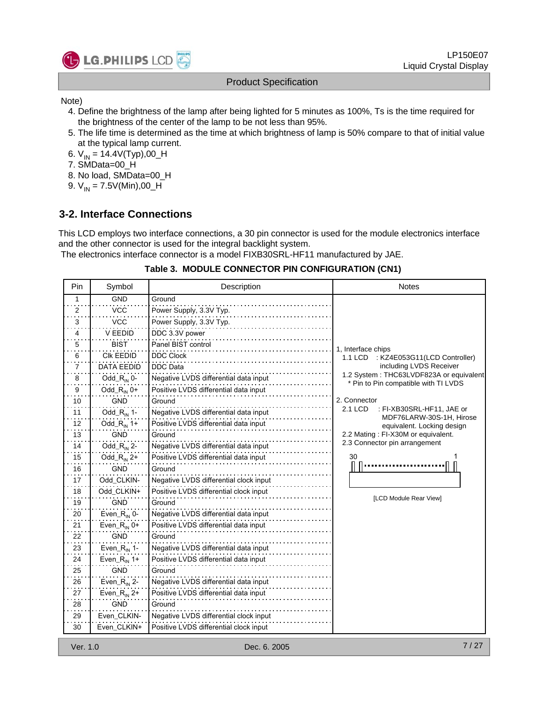

Note)

- 4. Define the brightness of the lamp after being lighted for 5 minutes as 100%, Ts is the time required for the brightness of the center of the lamp to be not less than 95%.
- 5. The life time is determined as the time at which brightness of lamp is 50% compare to that of initial value at the typical lamp current.
- 6.  $V_{IN} = 14.4V(Typ)$ ,00\_H
- 7. SMData=00\_H
- 8. No load, SMData=00\_H
- 9.  $V_{IN} = 7.5V(Min), 00_H$

#### **3-2. Interface Connections**

This LCD employs two interface connections, a 30 pin connector is used for the module electronics interface and the other connector is used for the integral backlight system.

The electronics interface connector is a model FIXB30SRL-HF11 manufactured by JAE.

#### **Table 3. MODULE CONNECTOR PIN CONFIGURATION (CN1)**

| Pin                     | Symbol                   | Description                            | <b>Notes</b>                                                                    |
|-------------------------|--------------------------|----------------------------------------|---------------------------------------------------------------------------------|
| $\mathbf{1}$            | <b>GND</b>               | Ground                                 |                                                                                 |
| $\overline{\mathbf{c}}$ | <b>VCC</b>               | Power Supply, 3.3V Typ.                |                                                                                 |
| 3                       | <b>VCC</b>               | Power Supply, 3.3V Typ.                |                                                                                 |
| 4                       | V EEDID                  | DDC 3.3V power                         |                                                                                 |
| 5                       | <b>BIST</b>              | Panel BIST control                     | 1, Interface chips                                                              |
| 6                       | <b>CIK EEDID</b>         | <b>DDC Clock</b>                       | : KZ4E053G11(LCD Controller)<br>1.1 LCD                                         |
| 7                       | <b>DATA EEDID</b>        | <b>DDC</b> Data                        | including LVDS Receiver                                                         |
| 8                       | Odd_ $R_{IN}$ 0-         | Negative LVDS differential data input  | 1.2 System: THC63LVDF823A or equivalent<br>* Pin to Pin compatible with TI LVDS |
| 9                       | Odd_ $R_{IN}$ 0+         | Positive LVDS differential data input  |                                                                                 |
| 10                      | <b>GND</b>               | Ground                                 | 2. Connector                                                                    |
| 11                      | Odd_ $R_{IN}$ 1-         | Negative LVDS differential data input  | 2.1 LCD<br>: FI-XB30SRL-HF11, JAE or<br>MDF76LARW-30S-1H, Hirose                |
| 12                      | Odd_ $R_{IN}$ 1+         | Positive LVDS differential data input  | equivalent. Locking design                                                      |
| 13                      | <b>GND</b>               | Ground                                 | 2.2 Mating: FI-X30M or equivalent.                                              |
| 14                      | Odd_ $R_{IN}$ 2-         | Negative LVDS differential data input  | 2.3 Connector pin arrangement                                                   |
| 15                      | Odd_ $R_{IN}$ 2+         | Positive LVDS differential data input  | 30                                                                              |
| 16                      | <b>GND</b>               | Ground                                 |                                                                                 |
| 17                      | Odd CLKIN-               | Negative LVDS differential clock input |                                                                                 |
| 18                      | Odd_CLKIN+               | Positive LVDS differential clock input |                                                                                 |
| 19                      | <b>GND</b>               | Ground                                 | [LCD Module Rear View]                                                          |
| 20                      | Even_ $R_{\text{IN}}$ 0- | Negative LVDS differential data input  |                                                                                 |
| 21                      | Even_ $R_{IN}$ 0+        | Positive LVDS differential data input  |                                                                                 |
| 22                      | <b>GND</b>               | Ground                                 |                                                                                 |
| 23                      | Even_ $R_{IN}$ 1-        | Negative LVDS differential data input  |                                                                                 |
| 24                      | Even_ $R_{\text{IN}}$ 1+ | Positive LVDS differential data input  |                                                                                 |
| 25                      | <b>GND</b>               | Ground                                 |                                                                                 |
| 26                      | Even_ $R_{\text{IN}}$ 2- | Negative LVDS differential data input  |                                                                                 |
| 27                      | Even_ $R_{\text{IN}}$ 2+ | Positive LVDS differential data input  |                                                                                 |
| 28                      | <b>GND</b>               | Ground                                 |                                                                                 |
| 29                      | Even CLKIN-              | Negative LVDS differential clock input |                                                                                 |
| 30                      | Even_CLKIN+              | Positive LVDS differential clock input |                                                                                 |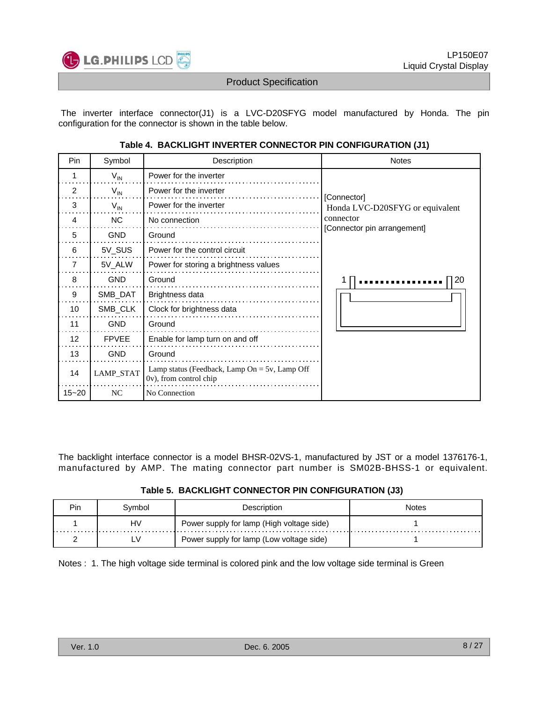

The inverter interface connector(J1) is a LVC-D20SFYG model manufactured by Honda. The pin configuration for the connector is shown in the table below.

| Pin       | Symbol           | Description                                                                | <b>Notes</b>                                   |
|-----------|------------------|----------------------------------------------------------------------------|------------------------------------------------|
| 1         | $V_{IN}$         | Power for the inverter                                                     |                                                |
| 2         | $V_{IN}$         | Power for the inverter                                                     |                                                |
| 3         | $V_{IN}$         | Power for the inverter                                                     | [Connector]<br>Honda LVC-D20SFYG or equivalent |
| 4         | <b>NC</b>        | No connection                                                              | connector                                      |
| 5         | <b>GND</b>       | Ground                                                                     | [Connector pin arrangement]                    |
| 6         | 5V_SUS           | Power for the control circuit                                              |                                                |
| 7         | 5V_ALW           | Power for storing a brightness values                                      |                                                |
| 8         | <b>GND</b>       | Ground                                                                     | 20                                             |
| 9         | SMB_DAT          | Brightness data                                                            |                                                |
| 10        | SMB_CLK          | Clock for brightness data                                                  |                                                |
| 11        | <b>GND</b>       | Ground                                                                     |                                                |
| 12        | <b>FPVEE</b>     | Enable for lamp turn on and off                                            |                                                |
| 13        | <b>GND</b>       | Ground                                                                     |                                                |
| 14        | <b>LAMP_STAT</b> | Lamp status (Feedback, Lamp On = $5v$ , Lamp Off<br>0v), from control chip |                                                |
| $15 - 20$ | NC               | No Connection                                                              |                                                |

**Table 4. BACKLIGHT INVERTER CONNECTOR PIN CONFIGURATION (J1)**

The backlight interface connector is a model BHSR-02VS-1, manufactured by JST or a model 1376176-1, manufactured by AMP. The mating connector part number is SM02B-BHSS-1 or equivalent.

| Pin | .vmbol | Description                               | Notes |
|-----|--------|-------------------------------------------|-------|
|     | HV     | Power supply for lamp (High voltage side) |       |
|     |        | Power supply for lamp (Low voltage side)  |       |

Notes : 1. The high voltage side terminal is colored pink and the low voltage side terminal is Green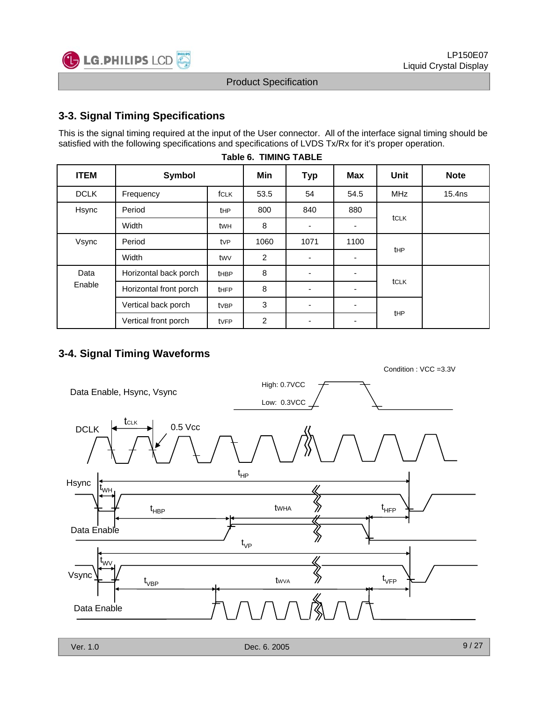

#### **3-3. Signal Timing Specifications**

This is the signal timing required at the input of the User connector. All of the interface signal timing should be satisfied with the following specifications and specifications of LVDS Tx/Rx for it's proper operation.

| <b>ITEM</b> | Symbol                 |             | Min            | <b>Typ</b>               | <b>Max</b> | <b>Unit</b> | <b>Note</b>        |
|-------------|------------------------|-------------|----------------|--------------------------|------------|-------------|--------------------|
| <b>DCLK</b> | Frequency              | <b>fCLK</b> | 53.5           | 54                       | 54.5       | <b>MHz</b>  | 15.4 <sub>ns</sub> |
| Hsync       | Period                 | <b>tHP</b>  | 800            | 840                      | 880        | tCLK        |                    |
|             | Width                  | twh         | 8              |                          | ٠          |             |                    |
| Vsync       | Period                 | tvP         | 1060           | 1071                     | 1100       |             |                    |
|             | Width                  | twy         | 2              |                          | ٠          | <b>tHP</b>  |                    |
| Data        | Horizontal back porch  | <b>tHBP</b> | 8              | $\overline{a}$           | ٠          |             |                    |
| Enable      | Horizontal front porch | <b>tHFP</b> | 8              | $\overline{\phantom{a}}$ | ۰          | tCLK        |                    |
|             | Vertical back porch    | tvBP        | 3              | $\overline{\phantom{a}}$ | ٠          |             |                    |
|             | Vertical front porch   | tvFP        | $\overline{c}$ | $\overline{\phantom{a}}$ | ٠          | tHP         |                    |

|  | <b>Table 6. TIMING TABLE</b> |  |
|--|------------------------------|--|

#### **3-4. Signal Timing Waveforms**

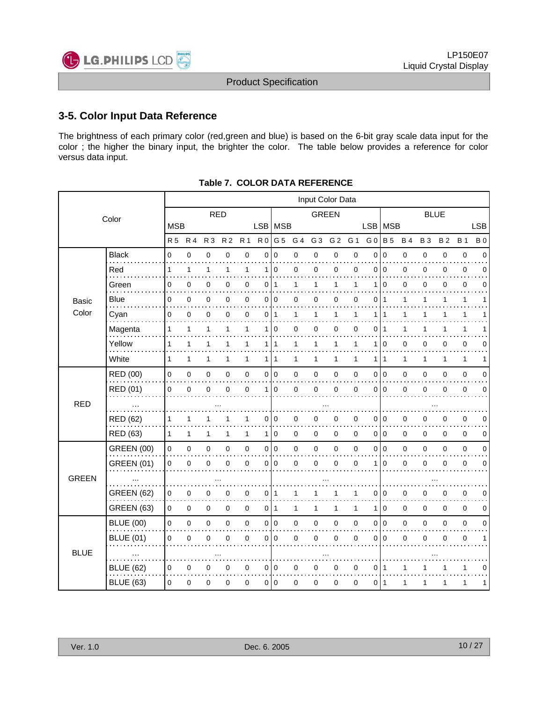

#### **3-5. Color Input Data Reference**

The brightness of each primary color (red,green and blue) is based on the 6-bit gray scale data input for the color ; the higher the binary input, the brighter the color. The table below provides a reference for color versus data input.

|              |                   |                     |              |                |                |              |                | Input Color Data |              |                |                |              |                |                |             |              |             |              |             |
|--------------|-------------------|---------------------|--------------|----------------|----------------|--------------|----------------|------------------|--------------|----------------|----------------|--------------|----------------|----------------|-------------|--------------|-------------|--------------|-------------|
|              | Color             |                     |              | <b>RED</b>     |                |              |                |                  |              |                | <b>GREEN</b>   |              |                |                |             |              | <b>BLUE</b> |              |             |
|              |                   | <b>MSB</b>          |              |                |                |              |                | LSB   MSB        |              |                |                |              | <b>LSB</b>     | MSB            |             |              |             |              | <b>LSB</b>  |
|              |                   | <b>R5</b>           | <b>R4</b>    | R <sub>3</sub> | R <sub>2</sub> | <b>R</b> 1   | R <sub>0</sub> | G <sub>5</sub>   | G 4          | G <sub>3</sub> | G <sub>2</sub> | G 1          | G <sub>0</sub> | <b>B</b> 5     | <b>B4</b>   | <b>B3</b>    | <b>B2</b>   | <b>B</b> 1   | <b>B</b> 0  |
|              | <b>Black</b>      | 0                   | $\pmb{0}$    | $\pmb{0}$      | $\mathbf 0$    | $\pmb{0}$    | 0              | 0                | 0            | $\pmb{0}$      | $\mathbf 0$    | $\mathbf 0$  | 0              | $\pmb{0}$      | 0           | 0            | $\pmb{0}$   | $\pmb{0}$    | $\mathbf 0$ |
|              | Red<br>.          | 1                   | $\mathbf{1}$ | $\mathbf{1}$   | 1              | 1            | 1              | 0                | 0            | 0              | $\pmb{0}$      | $\mathbf 0$  | $\Omega$       | $\overline{0}$ | $\mathbf 0$ | 0            | 0           | $\pmb{0}$    | $\mathbf 0$ |
|              | Green             | 0                   | 0            | 0              | 0              | 0            | 0              | $\mathbf{1}$     | 1            | 1              | 1              | 1            |                | 0              | 0           | 0            | 0           | $\mathbf 0$  | $\Omega$    |
| <b>Basic</b> | Blue              | 0                   | 0            | 0              | 0              | 0            | $\overline{0}$ | 0                | 0            | 0              | $\mathbf 0$    | 0            | 0              | $\mathbf 1$    | 1           | 1            | 1           | $\mathbf{1}$ | 1           |
| Color        | Cyan              | 0                   | 0            | 0              | 0              | 0            | 0 I            | $\mathbf{1}$     | 1            | 1              | 1              | 1            | 1              |                | 1           | 1            |             | 1            |             |
|              | Magenta           | 1                   | 1            | 1              | 1              | $\mathbf{1}$ | 1              | 0                | 0            | $\mathbf 0$    | 0              | 0            | $\Omega$       | $\overline{1}$ | 1           | 1            | 1           | 1            |             |
|              | Yellow            | 1                   | $\mathbf{1}$ | $\mathbf{1}$   | 1              | 1            | 1              | 1                | 1            | $\mathbf{1}$   | $\mathbf{1}$   | 1            | 1              | $\overline{0}$ | $\mathbf 0$ | 0            | 0           | $\pmb{0}$    | $\mathbf 0$ |
|              | White             | 1                   | 1            | $\mathbf{1}$   | 1              | $\mathbf{1}$ | 1              | 1                | 1            | $\mathbf{1}$   | $\mathbf{1}$   | 1            | 1              | $\mathbf{1}$   | 1           | $\mathbf{1}$ | 1           | $\mathbf{1}$ | 1           |
|              | <b>RED (00)</b>   | $\mathbf{0}$        | $\mathbf 0$  | 0              | $\mathbf 0$    | $\mathbf 0$  |                | 0 <sup>10</sup>  | 0            | $\mathbf 0$    | $\pmb{0}$      | $\mathbf 0$  | $\Omega$       | l 0            | $\mathbf 0$ | 0            | 0           | $\pmb{0}$    | $\mathbf 0$ |
|              | RED (01)          | $\mathsf{O}\xspace$ | 0            | $\pmb{0}$      | $\mathbf 0$    | 0            | 1              | 0                | 0            | $\mathbf 0$    | $\pmb{0}$      | $\mathbf 0$  | 0              | $\overline{0}$ | $\mathbf 0$ | 0            | 0           | $\mathbf 0$  | 0           |
| <b>RED</b>   | $\cdots$          |                     |              |                |                |              |                |                  |              |                |                |              |                |                |             |              |             |              |             |
|              | RED (62)          | 1                   | 1            | 1              | 1              | 1            | 0              | 0                | 0            | $\mathbf 0$    | $\pmb{0}$      | 0            | 0              | 0              | 0           | 0            | 0           | $\pmb{0}$    | 0           |
|              | RED (63)          | $\mathbf{1}$        | 1            | 1              | $\mathbf{1}$   | 1            | 1              | 0                | $\mathbf 0$  | $\mathbf 0$    | $\mathbf 0$    | 0            | 0              | 0              | 0           | 0            | 0           | $\mathbf 0$  | 0           |
|              | <b>GREEN (00)</b> | $\mathsf{O}\xspace$ | $\pmb{0}$    | 0              | 0              | 0            |                | 0 0              | 0            | $\mathbf 0$    | $\pmb{0}$      | 0            | 0              | l o            | 0           | 0            | 0           | $\pmb{0}$    | $\mathbf 0$ |
|              | <b>GREEN (01)</b> | $\mathbf{0}$        | 0            | 0              | $\Omega$       | 0            |                | 0 <sup>10</sup>  | 0            | $\mathbf 0$    | $\mathbf 0$    | $\mathbf 0$  | 1              | $\Omega$       | $\mathbf 0$ | 0            | 0           | $\mathbf 0$  | $\mathbf 0$ |
| <b>GREEN</b> |                   |                     |              |                |                |              |                |                  |              |                |                |              |                |                |             |              |             |              |             |
|              | <b>GREEN (62)</b> | 0                   | $\pmb{0}$    | $\mathbf 0$    | 0              | $\mathbf 0$  | $\overline{0}$ | 1                | 1            | 1              | 1              | $\mathbf{1}$ | $\Omega$       | $\overline{0}$ | $\mathbf 0$ | 0            | 0           | $\mathbf 0$  | 0           |
|              | <b>GREEN (63)</b> | 0                   | $\mathbf 0$  | $\mathbf 0$    | $\mathbf 0$    | 0            | $\overline{0}$ | 1                | $\mathbf{1}$ | $\mathbf{1}$   | $\mathbf{1}$   | 1            | 1              | $\overline{0}$ | 0           | 0            | 0           | $\mathbf 0$  | 0           |
|              | <b>BLUE (00)</b>  | $\mathsf{O}\xspace$ | $\mathbf 0$  | $\pmb{0}$      | $\mathbf 0$    | $\pmb{0}$    |                | 0 <sup>10</sup>  | 0            | $\pmb{0}$      | $\pmb{0}$      | $\mathbf 0$  | $\Omega$       | $\overline{0}$ | $\mathbf 0$ | 0            | 0           | $\pmb{0}$    | $\mathbf 0$ |
|              | <b>BLUE (01)</b>  | $\mathbf 0$         | 0            | 0              | $\Omega$       | 0            |                | 010              | 0            | $\mathbf 0$    | 0              | $\mathbf 0$  | 0              | $\mathbf 0$    | 0           | 0            | 0           | $\mathbf 0$  | 1           |
| <b>BLUE</b>  | $\cdots$          |                     |              |                |                |              |                |                  |              |                |                |              |                |                |             |              |             |              |             |
|              | <b>BLUE (62)</b>  | 0                   | 0            | 0              | 0              | 0            | 0              | 0                | 0            | 0              | 0              | 0            | 0              | 1              | 1           |              |             | 1            | 0           |
|              | <b>BLUE (63)</b>  | 0                   | 0            | 0              | 0              | 0            | $\overline{0}$ | 0                | 0            | $\mathbf 0$    | 0              | $\pmb{0}$    | 0              | $\overline{1}$ | 1           | 1            | 1           | 1            | 1           |

#### **Table 7. COLOR DATA REFERENCE**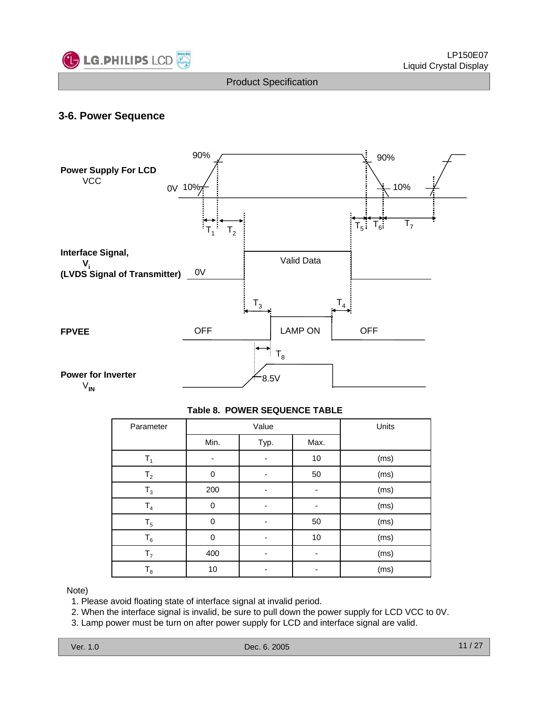

#### **3-6. Power Sequence**



#### **Table 8. POWER SEQUENCE TABLE**

| Parameter      |      | Value |      | Units |
|----------------|------|-------|------|-------|
|                | Min. | Typ.  | Max. |       |
| T <sub>1</sub> | -    |       | 10   | (ms)  |
| T <sub>2</sub> | 0    |       | 50   | (ms)  |
| $T_3$          | 200  |       |      | (ms)  |
| T <sub>4</sub> | 0    |       |      | (ms)  |
| $T_5$          | 0    |       | 50   | (ms)  |
| $T_6$          | 0    |       | 10   | (ms)  |
| T <sub>7</sub> | 400  |       |      | (ms)  |
| $T_8$          | 10   | ٠     |      | (ms)  |

Note)

1. Please avoid floating state of interface signal at invalid period.

2. When the interface signal is invalid, be sure to pull down the power supply for LCD VCC to 0V.

3. Lamp power must be turn on after power supply for LCD and interface signal are valid.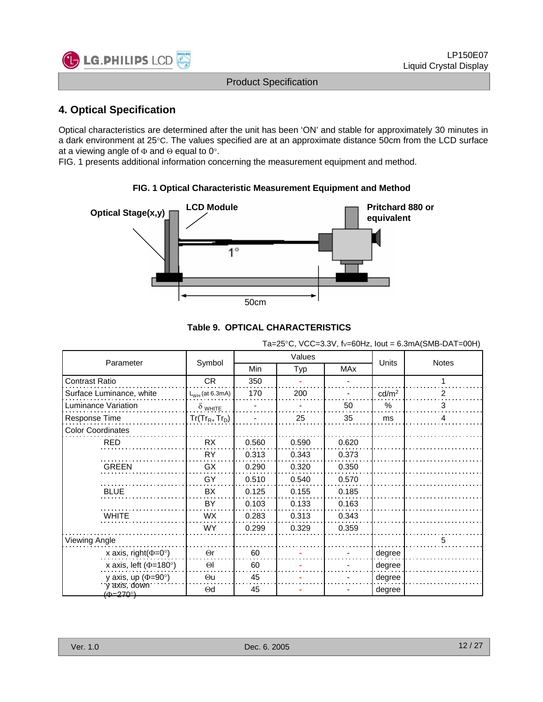

#### **4. Optical Specification**

Optical characteristics are determined after the unit has been 'ON' and stable for approximately 30 minutes in a dark environment at 25°C. The values specified are at an approximate distance 50cm from the LCD surface at a viewing angle of Φ and Θ equal to 0°.

**FIG. 1 Optical Characteristic Measurement Equipment and Method**

FIG. 1 presents additional information concerning the measurement equipment and method.

# **Optical Stage(x,y) LCD Module COMODULE Pritchard 880 or equivalent**  $1^{\circ}$ 50cm

#### **Table 9. OPTICAL CHARACTERISTICS**

Ta=25°C, VCC=3.3V, fv=60Hz, lout = 6.3mA(SMB-DAT=00H)

| Parameter                            | Symbol              |            | Values |       | Units             | <b>Notes</b> |
|--------------------------------------|---------------------|------------|--------|-------|-------------------|--------------|
|                                      |                     | <b>Min</b> | Typ    | MAx   |                   |              |
| <b>Contrast Ratio</b>                | CR.                 | 350        |        |       |                   |              |
| Surface Luminance, white             | $L_{WH}$ (at 6.3mA) | 170        | 200    |       | cd/m <sup>2</sup> | 2            |
| Luminance Variation                  | $\delta$ white      |            |        | 50    | $\frac{0}{0}$     | 3            |
| Response Time                        | $Tr(Tr_{R+}Tr_{D})$ |            | 25     | 35    | ms                | 4            |
| <b>Color Coordinates</b>             |                     |            |        |       |                   |              |
| <b>RED</b>                           | <b>RX</b>           | 0.560      | 0.590  | 0.620 |                   |              |
|                                      | RY                  | 0.313      | 0.343  | 0.373 |                   |              |
| <b>GREEN</b>                         | GX                  | 0.290      | 0.320  | 0.350 |                   |              |
|                                      | GY                  | 0.510      | 0.540  | 0.570 |                   |              |
| <b>BLUE</b>                          | BX                  | 0.125      | 0.155  | 0.185 |                   |              |
|                                      | BY                  | 0.103      | 0.133  | 0.163 |                   |              |
| <b>WHITE</b>                         | <b>WX</b>           | 0.283      | 0.313  | 0.343 |                   |              |
|                                      | WY.                 | 0.299      | 0.329  | 0.359 |                   |              |
| <b>Viewing Angle</b>                 |                     |            |        |       |                   | 5            |
| x axis, right( $\Phi$ =0°)           | $\Theta$ r          | 60         |        |       | degree            |              |
| x axis, left ( $\Phi$ =180°)         | $\Theta$            | 60         |        |       | degree            |              |
| y axis, up ( $\Phi$ =90 $^{\circ}$ ) | Θu                  | 45         |        |       | degree            |              |
| v axis, down<br>(ക=270ി              | $\Theta$ d          | 45         |        |       | degree            |              |

Ver. 1.0 Dec. 6. 2005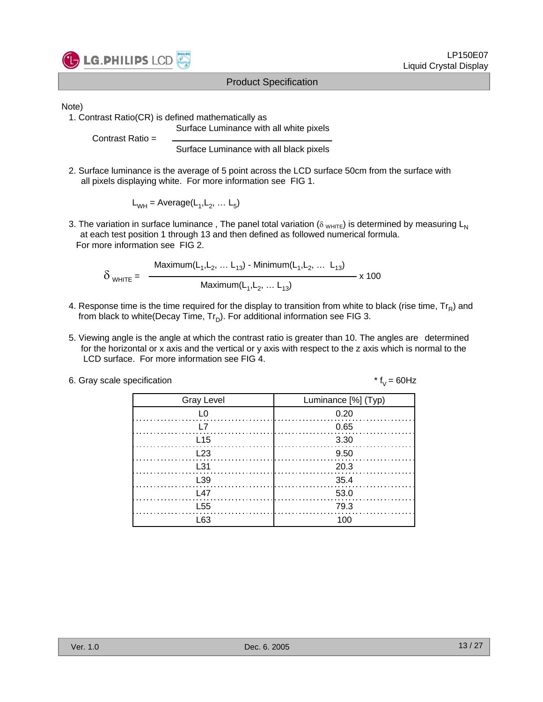

Note)

1. Contrast Ratio(CR) is defined mathematically as

Surface Luminance with all white pixels

Contrast Ratio =

Surface Luminance with all black pixels

2. Surface luminance is the average of 5 point across the LCD surface 50cm from the surface with all pixels displaying white. For more information see FIG 1.

 $L_{WH}$  = Average( $L_1, L_2, ... L_5$ )

3. The variation in surface luminance, The panel total variation ( $\delta_{WHITE}$ ) is determined by measuring L<sub>N</sub> at each test position 1 through 13 and then defined as followed numerical formula. For more information see FIG 2.

$$
\delta_{\text{WHITE}} = \frac{\text{Maximum}(L_1, L_2, \dots L_{13}) - \text{Minimum}(L_1, L_2, \dots L_{13})}{\text{Maximum}(L_1, L_2, \dots L_{13})} \times 100
$$

- 4. Response time is the time required for the display to transition from white to black (rise time,  $Tr_R$ ) and from black to white(Decay Time,  $Tr_D$ ). For additional information see FIG 3.
- 5. Viewing angle is the angle at which the contrast ratio is greater than 10. The angles are determined for the horizontal or x axis and the vertical or y axis with respect to the z axis which is normal to the LCD surface. For more information see FIG 4.

| 6. Gray scale specification | * $f_v = 60$ Hz |
|-----------------------------|-----------------|
|-----------------------------|-----------------|

| <b>Gray Level</b> | Luminance [%] (Typ) |  |  |  |  |
|-------------------|---------------------|--|--|--|--|
| L0                | 0.20                |  |  |  |  |
| I 7               | 0.65                |  |  |  |  |
| L <sub>15</sub>   | - 3.30              |  |  |  |  |
| L23               | 9.50                |  |  |  |  |
| L31               | 20.3                |  |  |  |  |
| L39               | - 35.4              |  |  |  |  |
| L47               | 53.0                |  |  |  |  |
| L <sub>55</sub>   | 79.3                |  |  |  |  |
| l 63              | 100                 |  |  |  |  |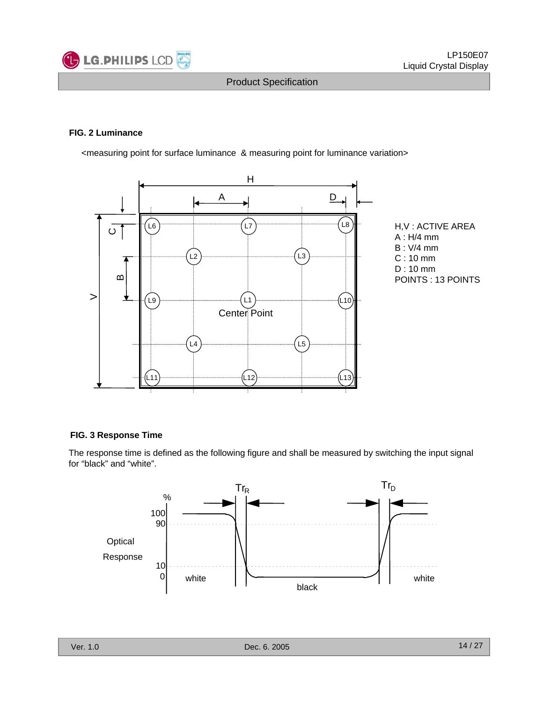

#### **FIG. 2 Luminance**

<measuring point for surface luminance & measuring point for luminance variation>



#### **FIG. 3 Response Time**

The response time is defined as the following figure and shall be measured by switching the input signal for "black" and "white".

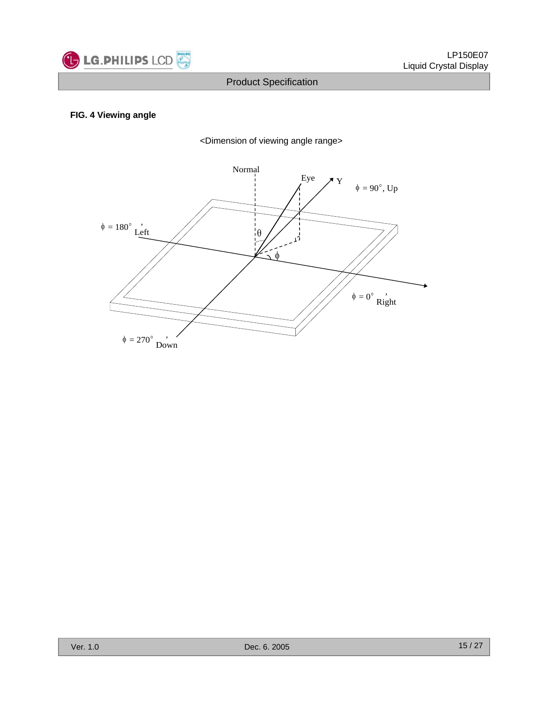

#### **FIG. 4 Viewing angle**



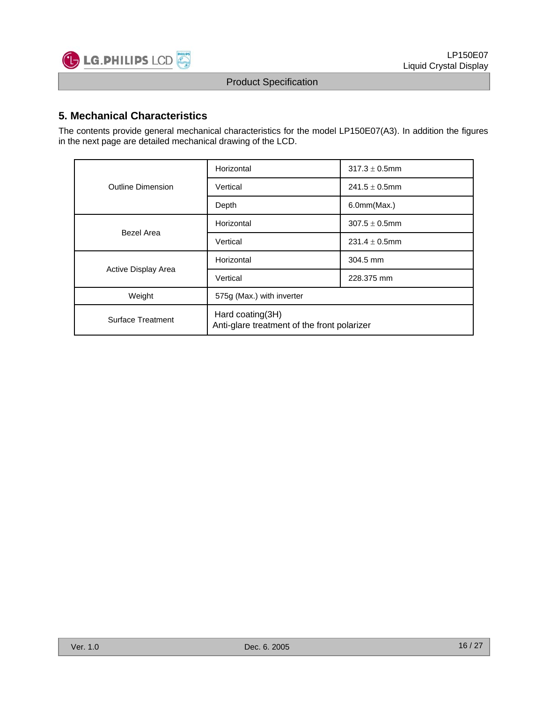

#### **5. Mechanical Characteristics**

The contents provide general mechanical characteristics for the model LP150E07(A3). In addition the figures in the next page are detailed mechanical drawing of the LCD.

|                          | Horizontal                                                      | $317.3 \pm 0.5$ mm |  |  |  |  |
|--------------------------|-----------------------------------------------------------------|--------------------|--|--|--|--|
| <b>Outline Dimension</b> | Vertical                                                        | $241.5 \pm 0.5$ mm |  |  |  |  |
|                          | Depth                                                           | 6.0mm(Max.)        |  |  |  |  |
| Bezel Area               | Horizontal                                                      | $307.5 \pm 0.5$ mm |  |  |  |  |
|                          | Vertical                                                        | $231.4 \pm 0.5$ mm |  |  |  |  |
|                          | Horizontal                                                      | 304.5 mm           |  |  |  |  |
| Active Display Area      | Vertical                                                        | 228.375 mm         |  |  |  |  |
| Weight                   | 575g (Max.) with inverter                                       |                    |  |  |  |  |
| <b>Surface Treatment</b> | Hard coating(3H)<br>Anti-glare treatment of the front polarizer |                    |  |  |  |  |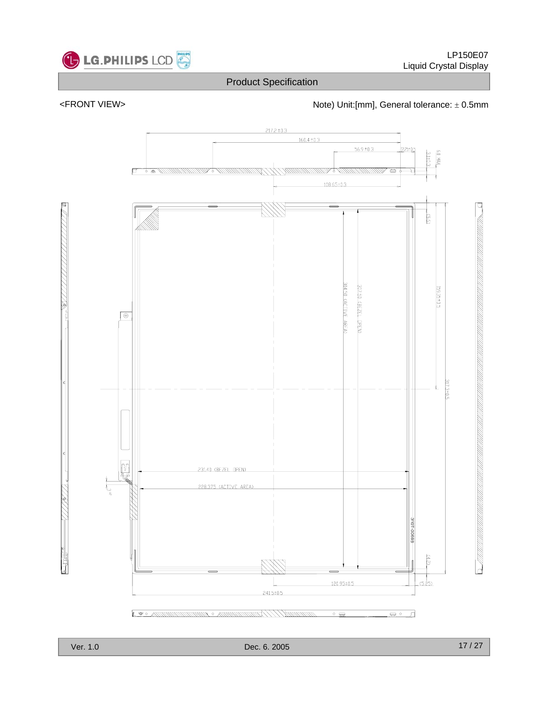

#### <FRONT VIEW> <https://www.matchmole.com/hotel/doint/filmm], General tolerance: ± 0.5mm

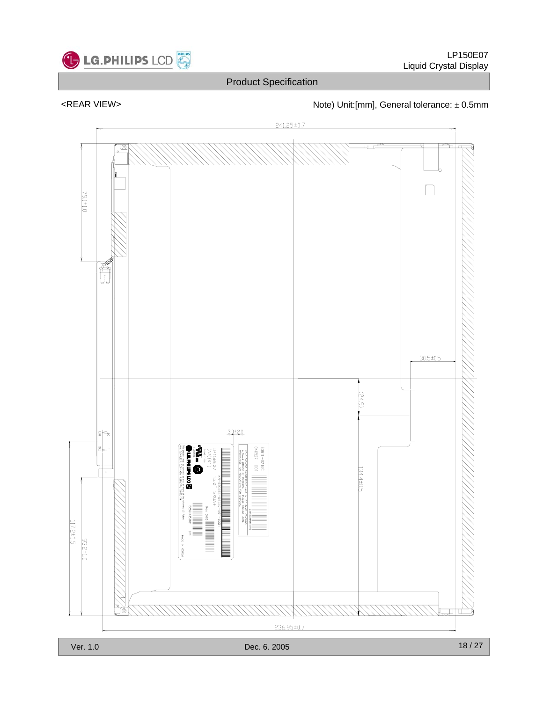

<REAR VIEW>  $\blacksquare$  Note) Unit:[mm], General tolerance:  $\pm$  0.5mm

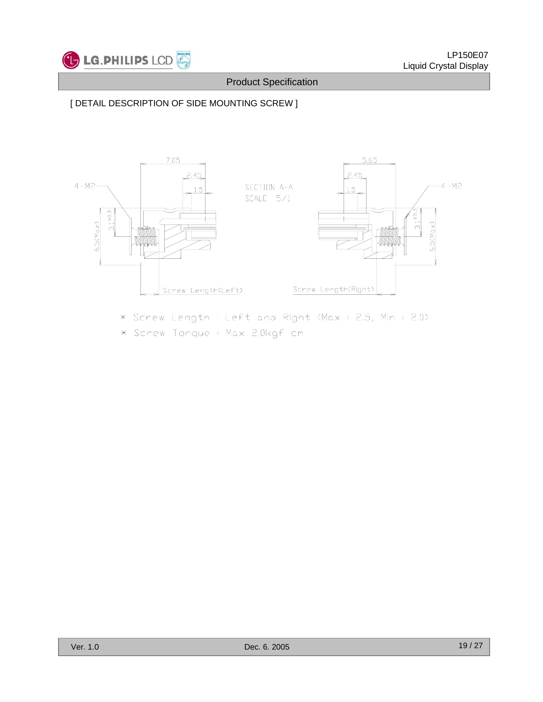

### [ DETAIL DESCRIPTION OF SIDE MOUNTING SCREW ]



\* Screw Length: Left and Right (Max: 2.5, Min: 2.0) \* Screw Torque : Max 2.0kgf cm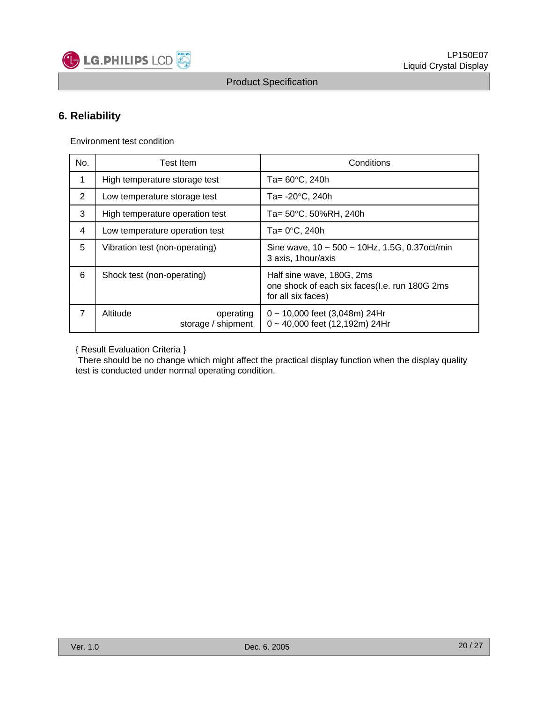

#### **6. Reliability**

Environment test condition

| No.            | <b>Test Item</b>                            | Conditions                                                                                       |  |  |  |  |  |
|----------------|---------------------------------------------|--------------------------------------------------------------------------------------------------|--|--|--|--|--|
| 1              | High temperature storage test               | Ta= $60^{\circ}$ C, 240h                                                                         |  |  |  |  |  |
| 2              | Low temperature storage test                | Ta= -20°C, 240h                                                                                  |  |  |  |  |  |
| 3              | High temperature operation test             | Ta= 50°C, 50%RH, 240h                                                                            |  |  |  |  |  |
| 4              | Low temperature operation test              | Ta= 0°C, 240h                                                                                    |  |  |  |  |  |
| 5              | Vibration test (non-operating)              | Sine wave, $10 \sim 500 \sim 10$ Hz, 1.5G, 0.37 oct/min<br>3 axis, 1 hour/axis                   |  |  |  |  |  |
| 6              | Shock test (non-operating)                  | Half sine wave, 180G, 2ms<br>one shock of each six faces(I.e. run 180G 2ms<br>for all six faces) |  |  |  |  |  |
| $\overline{7}$ | Altitude<br>operating<br>storage / shipment | $0 \sim 10,000$ feet (3,048m) 24Hr<br>0~40,000 feet (12,192m) 24Hr                               |  |  |  |  |  |

{ Result Evaluation Criteria }

There should be no change which might affect the practical display function when the display quality test is conducted under normal operating condition.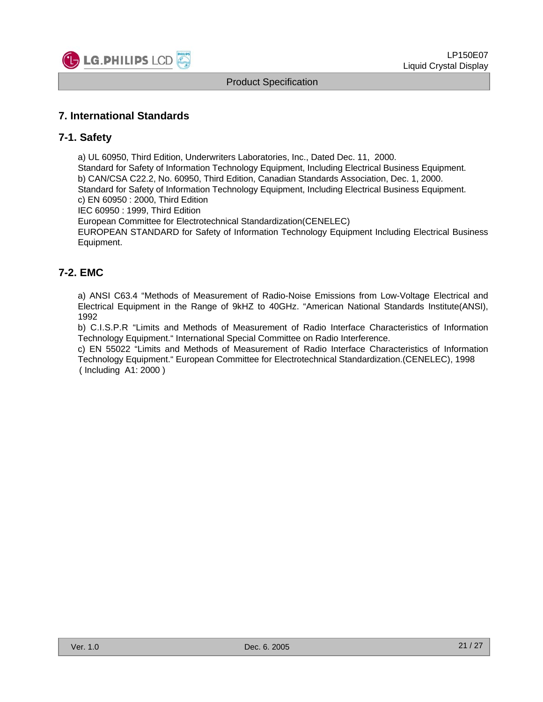

#### **7. International Standards**

#### **7-1. Safety**

a) UL 60950, Third Edition, Underwriters Laboratories, Inc., Dated Dec. 11, 2000. Standard for Safety of Information Technology Equipment, Including Electrical Business Equipment. b) CAN/CSA C22.2, No. 60950, Third Edition, Canadian Standards Association, Dec. 1, 2000. Standard for Safety of Information Technology Equipment, Including Electrical Business Equipment. c) EN 60950 : 2000, Third Edition

IEC 60950 : 1999, Third Edition

European Committee for Electrotechnical Standardization(CENELEC)

EUROPEAN STANDARD for Safety of Information Technology Equipment Including Electrical Business Equipment.

#### **7-2. EMC**

a) ANSI C63.4 "Methods of Measurement of Radio-Noise Emissions from Low-Voltage Electrical and Electrical Equipment in the Range of 9kHZ to 40GHz. "American National Standards Institute(ANSI), 1992

b) C.I.S.P.R "Limits and Methods of Measurement of Radio Interface Characteristics of Information Technology Equipment." International Special Committee on Radio Interference.

c) EN 55022 "Limits and Methods of Measurement of Radio Interface Characteristics of Information Technology Equipment." European Committee for Electrotechnical Standardization.(CENELEC), 1998 ( Including A1: 2000 )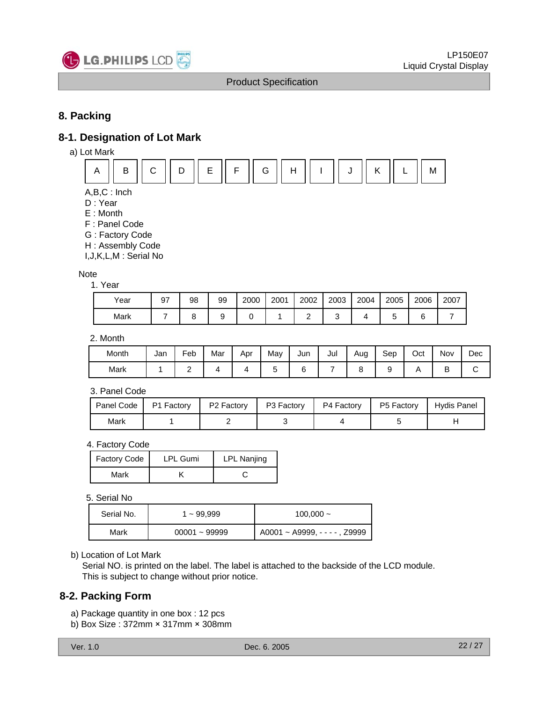

#### **8. Packing**

#### **8-1. Designation of Lot Mark**

a) Lot Mark



- A,B,C : Inch
- D : Year
- E : Month
- F : Panel Code
- G : Factory Code
- H : Assembly Code

I,J,K,L,M : Serial No

#### **Note**

1. Year

| Year | 97 | 98 | 99 | 2000 | 2001 | 2002 | 2003 | 2004 | 2005 | 2006   | 2007 |
|------|----|----|----|------|------|------|------|------|------|--------|------|
| Mark |    |    |    |      |      |      |      |      |      | ⌒<br>ı |      |

2. Month

| Month | Jan | -<br>⊦eb | Mar | Apr | May | Jun | Jul | Aug | Sep | Oct | Nov    | Dec |
|-------|-----|----------|-----|-----|-----|-----|-----|-----|-----|-----|--------|-----|
| Mark  |     | -        |     |     |     |     |     |     |     |     | D<br>◡ | ັ   |

#### 3. Panel Code

| Panel Code | P1 Factory | $\vert$ P2 Factory | P3 Factory | . P4 Factory | P5 Factory | Hydis Panel |
|------------|------------|--------------------|------------|--------------|------------|-------------|
| Mark       |            |                    |            |              |            |             |

#### 4. Factory Code

| <b>Factory Code</b> | <b>LPL Gumi</b> | <b>LPL Nanjing</b> |
|---------------------|-----------------|--------------------|
| Mark                |                 |                    |

#### 5. Serial No

| Serial No. | l ~ 99,999      | 100,000 $\sim$                 |
|------------|-----------------|--------------------------------|
| Mark       | $00001 - 99999$ | $A0001 - A9999, - - -$ , Z9999 |

#### b) Location of Lot Mark

Serial NO. is printed on the label. The label is attached to the backside of the LCD module. This is subject to change without prior notice.

#### **8-2. Packing Form**

- a) Package quantity in one box : 12 pcs
- b) Box Size : 372mm × 317mm × 308mm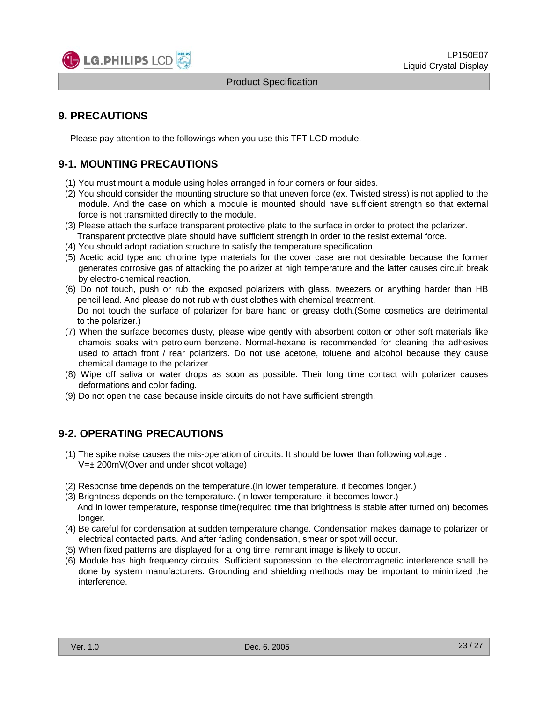

#### **9. PRECAUTIONS**

Please pay attention to the followings when you use this TFT LCD module.

#### **9-1. MOUNTING PRECAUTIONS**

- (1) You must mount a module using holes arranged in four corners or four sides.
- (2) You should consider the mounting structure so that uneven force (ex. Twisted stress) is not applied to the module. And the case on which a module is mounted should have sufficient strength so that external force is not transmitted directly to the module.
- (3) Please attach the surface transparent protective plate to the surface in order to protect the polarizer. Transparent protective plate should have sufficient strength in order to the resist external force.
- (4) You should adopt radiation structure to satisfy the temperature specification.
- (5) Acetic acid type and chlorine type materials for the cover case are not desirable because the former generates corrosive gas of attacking the polarizer at high temperature and the latter causes circuit break by electro-chemical reaction.
- (6) Do not touch, push or rub the exposed polarizers with glass, tweezers or anything harder than HB pencil lead. And please do not rub with dust clothes with chemical treatment. Do not touch the surface of polarizer for bare hand or greasy cloth.(Some cosmetics are detrimental to the polarizer.)
- (7) When the surface becomes dusty, please wipe gently with absorbent cotton or other soft materials like chamois soaks with petroleum benzene. Normal-hexane is recommended for cleaning the adhesives used to attach front / rear polarizers. Do not use acetone, toluene and alcohol because they cause chemical damage to the polarizer.
- (8) Wipe off saliva or water drops as soon as possible. Their long time contact with polarizer causes deformations and color fading.
- (9) Do not open the case because inside circuits do not have sufficient strength.

#### **9-2. OPERATING PRECAUTIONS**

- (1) The spike noise causes the mis-operation of circuits. It should be lower than following voltage : V=± 200mV(Over and under shoot voltage)
- (2) Response time depends on the temperature.(In lower temperature, it becomes longer.)
- (3) Brightness depends on the temperature. (In lower temperature, it becomes lower.) And in lower temperature, response time(required time that brightness is stable after turned on) becomes longer.
- (4) Be careful for condensation at sudden temperature change. Condensation makes damage to polarizer or electrical contacted parts. And after fading condensation, smear or spot will occur.
- (5) When fixed patterns are displayed for a long time, remnant image is likely to occur.
- (6) Module has high frequency circuits. Sufficient suppression to the electromagnetic interference shall be done by system manufacturers. Grounding and shielding methods may be important to minimized the interference.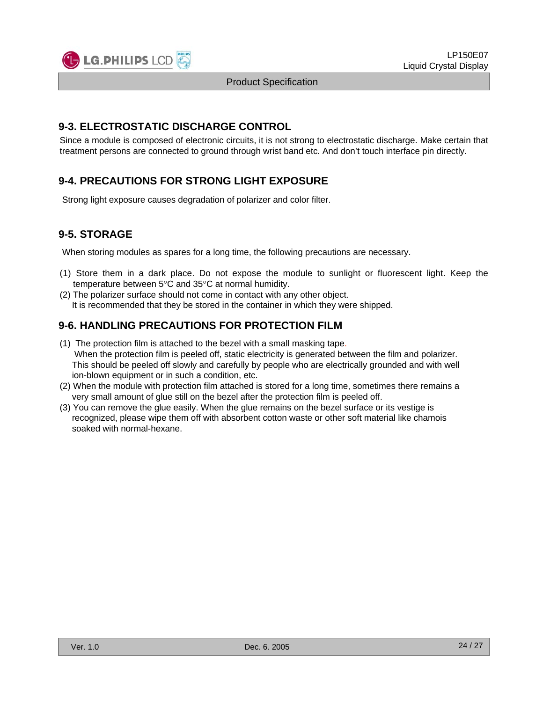

#### **9-3. ELECTROSTATIC DISCHARGE CONTROL**

Since a module is composed of electronic circuits, it is not strong to electrostatic discharge. Make certain that treatment persons are connected to ground through wrist band etc. And don't touch interface pin directly.

#### **9-4. PRECAUTIONS FOR STRONG LIGHT EXPOSURE**

Strong light exposure causes degradation of polarizer and color filter.

#### **9-5. STORAGE**

When storing modules as spares for a long time, the following precautions are necessary.

- (1) Store them in a dark place. Do not expose the module to sunlight or fluorescent light. Keep the temperature between 5°C and 35°C at normal humidity.
- (2) The polarizer surface should not come in contact with any other object. It is recommended that they be stored in the container in which they were shipped.

#### **9-6. HANDLING PRECAUTIONS FOR PROTECTION FILM**

- (1) The protection film is attached to the bezel with a small masking tape. When the protection film is peeled off, static electricity is generated between the film and polarizer. This should be peeled off slowly and carefully by people who are electrically grounded and with well ion-blown equipment or in such a condition, etc.
- (2) When the module with protection film attached is stored for a long time, sometimes there remains a very small amount of glue still on the bezel after the protection film is peeled off.
- (3) You can remove the glue easily. When the glue remains on the bezel surface or its vestige is recognized, please wipe them off with absorbent cotton waste or other soft material like chamois soaked with normal-hexane.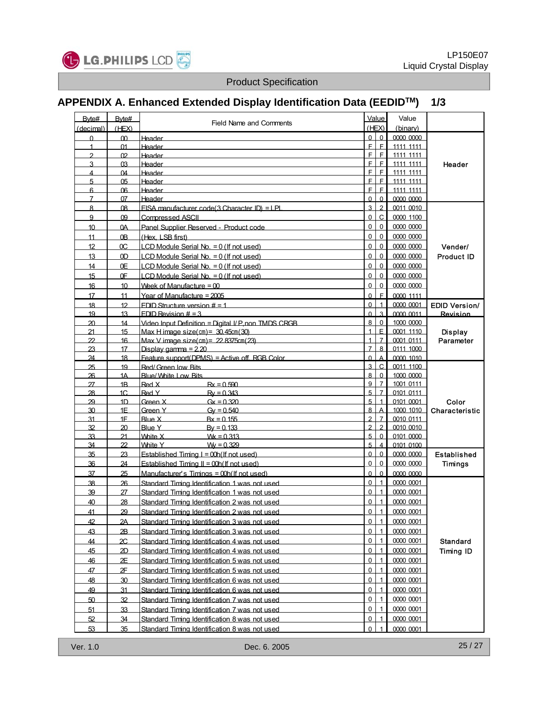

# **APPENDIX A. Enhanced Extended Display Identification Data (EEDIDTM) 1/3**

| Byte#               | Byte#            |                                                      |                     | Value                            | Value                  |                      |
|---------------------|------------------|------------------------------------------------------|---------------------|----------------------------------|------------------------|----------------------|
| (decimal)           | (HEX)            | <b>Field Name and Comments</b>                       |                     | (HEX)                            | (binary)               |                      |
| $\Omega$            | $\infty$         | <b>Header</b>                                        | 0                   | $\mathbf 0$                      | 0000 0000              |                      |
| $\mathbf{1}$        | 01               | <b>Header</b>                                        | E                   | E                                | 1111 1111              |                      |
| $\mathfrak{p}$      | 02               | Header                                               | F                   | F                                | 1111 1111              |                      |
| 3                   | Q3               | Header                                               | F.                  | $\mathsf{F}$                     | 1111 1111              | Header               |
| 4                   | 04               | Header                                               | F.                  | E                                | 1111 1111              |                      |
| 5                   | 0 <sub>5</sub>   | Header                                               | F.<br>F             | E                                | 1111 1111              |                      |
| 6                   | 06               | <b>Header</b>                                        |                     | F                                | 1111 1111              |                      |
| $\overline{7}$<br>8 | 07               | Header                                               | $\Omega$            | $\Omega$<br>$\overline{2}$       | 0000 0000              |                      |
|                     | 08               | FISA manufacturer code(3 Character ID) = I PL        | $\overline{3}$<br>0 | $\mathsf{C}$                     | 0011 0010              |                      |
| 9                   | 09               | <b>Compressed ASCII</b>                              |                     |                                  | 0000 1100              |                      |
| 10                  | 0A               | Panel Supplier Reserved - Product code               | 0                   | 0                                | 0000 0000              |                      |
| 11                  | 0B               | (Hex. LSB first)                                     | 0                   | $\pmb{0}$                        | 0000 0000              |                      |
| 12                  | ОC               | LCD Module Serial No. = 0 (If not used)              | 0                   | $\mathbf 0$                      | 0000 0000              | Vender/              |
| 13                  | 0 <sub>D</sub>   | LCD Module Serial No. = 0 (If not used)              | $\mathsf 0$         | $\mathbf 0$                      | 0000 0000              | <b>Product ID</b>    |
| 14                  | 0E               | LCD Module Serial No. = 0 (If not used)              | 0                   | 0                                | 0000 0000              |                      |
| 15                  | 0F               | LCD Module Serial No. = 0 (If not used)              | 0                   | 0                                | 0000 0000              |                      |
| 16                  | 10 <sup>10</sup> | Week of Manufacture $= 00$                           | 0                   | 0                                | 0000 0000              |                      |
| 17                  | 11               | Year of Manufacture = 2005                           | 0                   | F                                | 0000 1111              |                      |
| 18                  | 12               | FDID Structure version $# = 1$                       | $\Omega$            | $\mathbf{1}$                     | 0000 0001              | <b>EDID Version/</b> |
| 19                  | 13 <sup>13</sup> | FDID Revision $# = 3$                                | $\Omega$            | 3                                | 0000 0011              | Revision             |
| 20                  | 14               | Video Input Definition = Digital I/ P non TMDS CRGB. | 8                   | $\Omega$                         | 1000 0000              |                      |
| 21                  | 15               | Max H image $size(cm) = 30.45cm(30)$                 | $\overline{1}$      | E                                | 0001 1110              | <b>Display</b>       |
| 22                  | 16               | Max V image size $(cm) = 22.8375cm(23)$              | $\mathbf{1}$        | $\overline{7}$                   | 0001 0111              | Parameter            |
| 23                  | 17               | Display gamma = $2.20$                               | $\overline{7}$      | 8                                | 0111 1000              |                      |
| 24                  | 18               | Feature support(DPMS) = Active off RGB Color         | $\Omega$            | A                                | 0000 1010              |                      |
| 25                  | 19               | Red/Green low Bits                                   | $\overline{3}$      | $\mathsf{C}$                     | 0011 1100              |                      |
| 26                  | 1A               | <b>Blue/ White Low Bits</b>                          | 8                   | $\overline{0}$                   | 1000 0000              |                      |
| 27<br>28            | 1B<br>1C         | Red X<br>$Rx = 0.590$<br>Red Y<br>$Ry = 0.343$       | $\overline{9}$<br>5 | $\overline{L}$<br>$\overline{7}$ | 1001 0111<br>0101 0111 |                      |
| 29                  | 1 <sub>D</sub>   | Green X<br>$Gx = 0.320$                              | 5                   | $\overline{1}$                   | 0101 0001              | Color                |
| 30                  | 1F               | Green Y<br>$Gv = 0.540$                              | 8                   | $\overline{\mathsf{A}}$          | 1000 1010              | Characteristic       |
| 31                  | 1F               | Blue X<br>$Rx = 0.155$                               | $\overline{2}$      | $\overline{7}$                   | 0010 0111              |                      |
| 32                  | 20               | Blue Y<br>$Bv = 0.133$                               | $\overline{2}$      | $\overline{2}$                   | 0010 0010              |                      |
| 33                  | 21               | White X<br>$Wk = 0.313$                              | $\overline{5}$      | $\Omega$                         | 0101 0000              |                      |
| 34                  | 22               | White Y<br>$W = 0.329$                               | 5                   | $\overline{\mathbf{4}}$          | 0101 0100              |                      |
| 35                  | 23               | Established Timing $I = 00h$ (If not used)           | $\overline{0}$      | $\mathbf 0$                      | 0000 0000              | Established          |
| 36                  | 24               | Established Timing II = 00h(If not used)             | $\mathsf 0$         | $\mathbf 0$                      | 0000 0000              | <b>Timings</b>       |
| 37                  | 25               | Manufacturer's Timings = 00h(If not used)            | $\Omega$            | $\Omega$                         | 0000 0000              |                      |
| 38                  | 26               | Standard Timing Identification 1 was not used        | $\overline{0}$      | $\mathbf{1}$                     | 0000 0001              |                      |
| 39                  | 27               | Standard Timing Identification 1 was not used        | 0                   | $\mathbf{1}$                     | 0000 0001              |                      |
| 40                  | 28               | Standard Timing Identification 2 was not used        | 0                   | $\mathbf{1}$                     | 0000 0001              |                      |
| 41                  | 29               | Standard Timing Identification 2 was not used        | $\overline{0}$      | $\mathbf{1}$                     | 0000 0001              |                      |
| 42                  | 2A               | Standard Timing Identification 3 was not used        | $\overline{0}$      | $\overline{1}$                   | 0000 0001              |                      |
|                     |                  |                                                      | $\overline{0}$      | $\overline{1}$                   | 0000 0001              |                      |
| 43                  | 2B               | Standard Timing Identification 3 was not used        |                     | $\mathbf{1}$                     |                        |                      |
| 44                  | 2C               | Standard Timing Identification 4 was not used        | $\pmb{0}$           |                                  | 0000 0001              | <b>Standard</b>      |
| 45                  | 2D               | Standard Timing Identification 4 was not used        | $\overline{0}$      | $\overline{1}$                   | 0000 0001              | <b>Timing ID</b>     |
| 46                  | 2E               | Standard Timing Identification 5 was not used        | 0                   | $\mathbf{1}$                     | 0000 0001              |                      |
| 47                  | 2F               | Standard Timing Identification 5 was not used        | $\overline{0}$      | $\mathbf{1}$                     | 0000 0001              |                      |
| 48                  | 30               | Standard Timing Identification 6 was not used        | 0                   | $\mathbf{1}$                     | 0000 0001              |                      |
| 49                  | 31               | Standard Timing Identification 6 was not used        | 0                   | $\mathbf{1}$                     | 0000 0001              |                      |
| 50                  | 32               | Standard Timing Identification 7 was not used        | 0                   | $\mathbf{1}$                     | 0000 0001              |                      |
| 51                  | 33               | Standard Timing Identification 7 was not used        | $\overline{0}$      | $\overline{1}$                   | 0000 0001              |                      |
| 52                  | 34               | Standard Timing Identification 8 was not used        | $\mathsf 0$         | $\mathbf{1}$                     | 0000 0001              |                      |
| 53                  | 35               | Standard Timing Identification 8 was not used        | $\Omega$            |                                  | 0000 0001              |                      |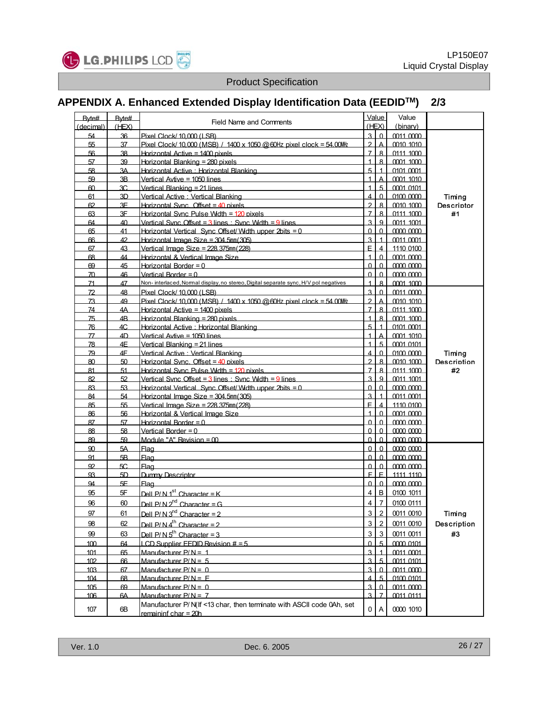

# **APPENDIX A. Enhanced Extended Display Identification Data (EEDIDTM) 2/3**

| Byte#           | Byte# | <b>Field Name and Comments</b>                                                       |                         | Value                   | Value                  |                    |
|-----------------|-------|--------------------------------------------------------------------------------------|-------------------------|-------------------------|------------------------|--------------------|
| (decimal)       | (HEX) |                                                                                      |                         | (HEX)                   | (binary)               |                    |
| 54              | 36    | Pixel Clock/ 10,000 (LSB)                                                            | $\overline{3}$          | $\Omega$                | 0011 0000              |                    |
| 55              | 37    | Pixel Clock/10,000 (MSB) / 1400 x 1050 @ 60Hz pixel clock = 54.00Mlz                 | $\mathfrak{p}$          | $\overline{\mathsf{A}}$ | 0010 1010              |                    |
| 56              | 38    | Horizontal Active = 1400 pixels                                                      | $\overline{7}$          | 8                       | 0111 1000              |                    |
| 57              | 39    | Horizontal Blanking = 280 pixels                                                     | $\mathbf{1}$            | $\mathbf{8}$            | 0001 1000              |                    |
| 58              | 3A    | Horizontal Active: Horizontal Blanking                                               | 5                       | $\overline{1}$          | 0101 0001              |                    |
| 59              | 3B    | Vertical Avtive = 1050 lines                                                         | $\overline{1}$          | А                       | 0001 1010              |                    |
| 60              | 3C    | Vertical Blanking = 21 lines                                                         | $\overline{1}$          | $\overline{5}$          | 0001 0101              |                    |
| 61              | 3D    | Vertical Active · Vertical Blanking                                                  | $\overline{\mathbf{4}}$ | $\Omega$                | 0100 0000              | Timing             |
| 62              | 3F    | Horizontal Sync. Offset = $40$ pixels                                                | $\overline{2}$          | $\mathbf{B}$            |                        | <b>Descriptor</b>  |
| 63              | 3F    | Horizontal Sync Pulse Width = 120 nixels                                             | $\overline{7}$          | $\mathbf{8}$            | 0010 1000<br>0111 1000 | #1                 |
| 64              | 40    | Vertical Sync Offset = $3$ lines $\cdot$ Sync Wdth = $9$ lines                       | $\overline{3}$          | 9                       |                        |                    |
| 65              |       |                                                                                      |                         | $\Omega$                | 0011 1001              |                    |
|                 | 41    | Horizontal Vertical Sync Offset/Width upper 2bits = 0                                | $\Omega$                |                         | 0000 0000              |                    |
| 66              | 42    | Horizontal Image Size = $304.5$ mm $(305)$                                           | $\overline{3}$          | $\mathbf{1}$            | 0011 0001              |                    |
| 67              | 43    | Vertical Image Size = $228.375$ mm $(228)$                                           | E                       | $\overline{4}$          | 1110 0100              |                    |
| 68              | 44    | Horizontal & Vertical Image Size                                                     | $\overline{1}$          | $\Omega$                | 0001 0000              |                    |
| 69              | 45    | Horizontal Border = $0$                                                              | $\Omega$                | $\Omega$                | 0000 0000              |                    |
| 70              | 46    | Vertical Border = $0$                                                                | $\Omega$                | $\Omega$                | <u>നന നന</u>           |                    |
| 71              | 47    | Non- interlaced, Normal display, no stereo, Digital separate sync, H/V pol negatives | 1                       | 8                       | 0001 1000              |                    |
| 72              | 48    | Pixel Clock/ 10,000 (I SB)                                                           | $\overline{3}$          | $\Omega$                | 0011 0000              |                    |
| 73              | 49    | Pixel Clock/ 10,000 (MSB) / 1400 x 1050 @ 60Hz pixel clock = 54 00MHz                | $\overline{2}$          | $\overline{\mathsf{A}}$ | 0010 1010              |                    |
| 74              | 4A    | Horizontal Active = 1400 pixels                                                      | $\overline{7}$          | $\mathbf{8}$            | 0111 1000              |                    |
| 75              | 4B    | Horizontal Blanking = 280 nixels                                                     | $\overline{1}$          | $\mathbf{8}$            | 0001 1000              |                    |
| 76              | 4C.   | Horizontal Active : Horizontal Blanking                                              | 5                       | $\overline{1}$          | 0101 0001              |                    |
| $\overline{77}$ | 4D    | Vertical Avtive = 1050 lines                                                         | $\mathbf{1}$            | $\overline{\mathsf{A}}$ | 0001 1010              |                    |
| 78              | 4E    | Vertical Blanking = 21 lines                                                         | $\mathbf{1}$            | $\overline{5}$          | 0001 0101              |                    |
| 79              | 4F    | Vertical Active : Vertical Blanking                                                  | $\overline{\mathbf{4}}$ | $\Omega$                | 0100 0000              | Timing             |
| 80              | 50    | Horizontal Sync. Offset = $40$ pixels                                                | $\overline{2}$          | $\mathbf{8}$            | 0010 1000              | <b>Description</b> |
| 81              | 51    | Horizontal Sync Pulse Wdth = 120 nixels                                              | $\overline{7}$          | $\mathbf{8}$            | 0111 1000              | #2                 |
| 82              | 52    | Vertical Sync Offset = $3$ lines $\cdot$ Sync Wdth = $9$ lines                       | $\overline{3}$          | $\mathbf{Q}$            | 0011 1001              |                    |
| 83              | 53    | Horizontal Vertical Sync Offset/Wdth upper 2bits = $0$                               | $\Omega$                | $\Omega$                | 0000 0000              |                    |
| 84              | 54    | Horizontal Image Size = $304.5$ mm $(305)$                                           | $\overline{3}$          | $\mathbf{1}$            | 0011 0001              |                    |
| 85              | 55    | Vertical Image Size = $228.375$ mm $(228)$                                           | E.                      | $\overline{4}$          | 1110 0100              |                    |
| 86              | 56    | Horizontal & Vertical Image Size                                                     | $\overline{1}$          | $\Omega$                | 0001 0000              |                    |
| 87              | 57    | Horizontal Border = $0$                                                              | $\Omega$                | $\Omega$                | 0000 0000              |                    |
| 88              | 58    | Vertical Border = $0$                                                                | $\Omega$                | $\Omega$                | 0000 0000              |                    |
| 89              | 59    | Module "A" Revision $=$ 00                                                           | $\Omega$                | $\Omega$                |                        |                    |
|                 |       |                                                                                      |                         | $\Omega$                | 0000 0000              |                    |
| 90              | 5A    | <b>Flag</b>                                                                          | $\Omega$                |                         | 0000 0000              |                    |
| 91              | 5B    | <b>Flag</b>                                                                          | $\Omega$                | $\Omega$                | 0000 0000              |                    |
| 92              | 5С.   | Flag                                                                                 | $\Omega$                | $\Omega$                | 0000 0000              |                    |
| 93              | 5D    | Dummy Descriptor                                                                     | F                       | $\mathsf{F}$            | 1111 1110              |                    |
| 94              | 5F    | Flag                                                                                 | $\Omega$                | $\Omega$                | 0000 0000              |                    |
| 95              | 5F    | Dell $P/N$ 1 <sup>st</sup> Character = K                                             | 4                       | $\mathbf{B}$            | 0100 1011              |                    |
| 96              | 60    | Dell P/N $2^{nd}$ Character = G                                                      | 4                       | $\overline{7}$          | 0100 0111              |                    |
| 97              | 61    | Dell $P/N$ 3 <sup>nd</sup> Character = 2                                             | $\overline{3}$          | $\overline{2}$          | 0011 0010              | Timing             |
| 98              | 62    | Dell P/N $4^{th}$ Character = 2                                                      | $\overline{3}$          | $\overline{2}$          | 0011 0010              | Description        |
|                 |       |                                                                                      |                         |                         |                        |                    |
| 99              | 63    | Dell $P/N$ $5^{th}$ Character = 3                                                    | $\overline{3}$          | $\mathbf{3}$            | 0011 0011              | #3                 |
| 100             | 64    | LCD Supplier FFDID Revision $# = 5$                                                  | $\Omega$                | $\overline{5}$          | 0000 0101              |                    |
| 101             | 65    | Manufacturer $P/N = 1$                                                               | $\overline{3}$          |                         | 0011 0001              |                    |
| 102             | 66    | Manufacturer $P/N = 5$                                                               | 3                       | $\overline{5}$          | 0011 0101              |                    |
| 103             | 67    | Manufacturer $P/N = 0$                                                               | $\overline{3}$          | $\Omega$                | 0011 0000              |                    |
| 104             | 68    | Manufacturer $P/N = F$                                                               | $\overline{4}$          | 5                       | 0100 0101              |                    |
| 105             | 69    | Manufacturer $P/N = 0$                                                               | $\overline{3}$          | $\Omega$                | 0011 0000              |                    |
| 106             | 6A    | Manufacturer $P/N = 7$                                                               | $\overline{3}$          | $\overline{7}$          | 0011 0111              |                    |
|                 |       | Manufacturer P/ N(If <13 char, then terminate with ASCII code 0Ah, set               |                         |                         |                        |                    |
| 107             | 6B    | remaininf char = 20h                                                                 | 0                       | A                       | 0000 1010              |                    |